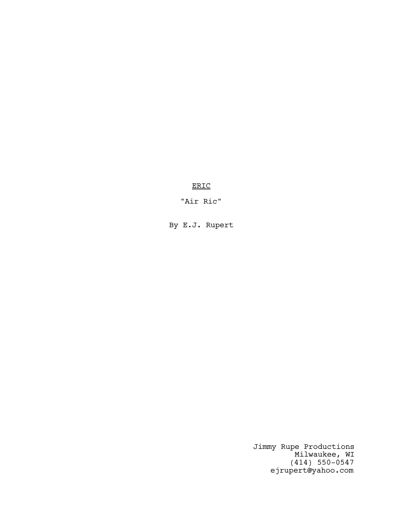ERIC

"Air Ric"

By E.J. Rupert

Jimmy Rupe Productions Milwaukee, WI (414) 550-0547 ejrupert@yahoo.com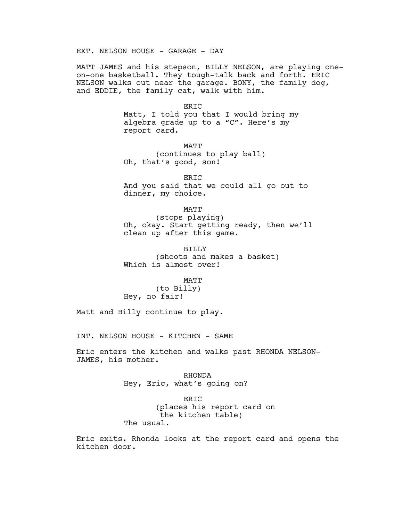EXT. NELSON HOUSE - GARAGE - DAY

MATT JAMES and his stepson, BILLY NELSON, are playing oneon-one basketball. They tough-talk back and forth. ERIC NELSON walks out near the garage. BONY, the family dog, and EDDIE, the family cat, walk with him.

ERIC

Matt, I told you that I would bring my algebra grade up to a "C". Here's my report card.

MATT (continues to play ball) Oh, that's good, son!

ERIC And you said that we could all go out to dinner, my choice.

MATT

(stops playing) Oh, okay. Start getting ready, then we'll clean up after this game.

BILLY (shoots and makes a basket) Which is almost over!

MATT

(to Billy) Hey, no fair!

Matt and Billy continue to play.

INT. NELSON HOUSE - KITCHEN - SAME

Eric enters the kitchen and walks past RHONDA NELSON-JAMES, his mother.

> RHONDA Hey, Eric, what's going on?

ERIC (places his report card on the kitchen table) The usual.

Eric exits. Rhonda looks at the report card and opens the kitchen door.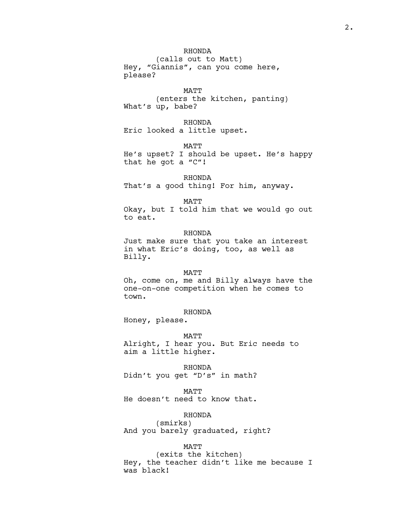RHONDA (calls out to Matt) Hey, "Giannis", can you come here, please?

MATT (enters the kitchen, panting) What's up, babe?

RHONDA Eric looked a little upset.

MATT

He's upset? I should be upset. He's happy that he got a "C"!

RHONDA

That's a good thing! For him, anyway.

MATT

Okay, but I told him that we would go out to eat.

### RHONDA

Just make sure that you take an interest in what Eric's doing, too, as well as Billy.

#### MATT

Oh, come on, me and Billy always have the one-on-one competition when he comes to town.

# RHONDA

Honey, please.

#### MATT

Alright, I hear you. But Eric needs to aim a little higher.

RHONDA Didn't you get "D's" in math?

MATT He doesn't need to know that.

# RHONDA

(smirks) And you barely graduated, right?

#### MATT

(exits the kitchen) Hey, the teacher didn't like me because I was black!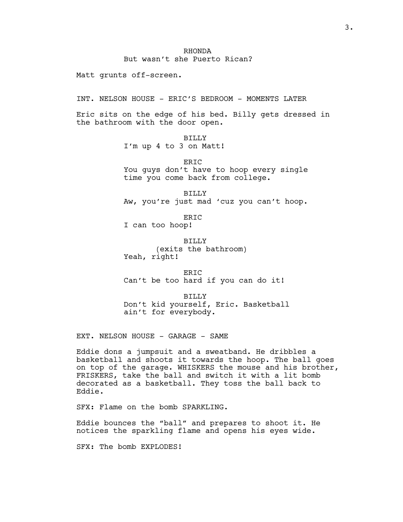### RHONDA But wasn't she Puerto Rican?

Matt grunts off-screen.

INT. NELSON HOUSE - ERIC'S BEDROOM - MOMENTS LATER

Eric sits on the edge of his bed. Billy gets dressed in the bathroom with the door open.

BILLY

I'm up 4 to 3 on Matt!

ERIC You guys don't have to hoop every single time you come back from college.

BILLY Aw, you're just mad 'cuz you can't hoop.

ERIC I can too hoop!

BILLY (exits the bathroom) Yeah, right!

ERIC Can't be too hard if you can do it!

BILLY Don't kid yourself, Eric. Basketball ain't for everybody.

EXT. NELSON HOUSE - GARAGE - SAME

Eddie dons a jumpsuit and a sweatband. He dribbles a basketball and shoots it towards the hoop. The ball goes on top of the garage. WHISKERS the mouse and his brother, FRISKERS, take the ball and switch it with a lit bomb decorated as a basketball. They toss the ball back to Eddie.

SFX: Flame on the bomb SPARKLING.

Eddie bounces the "ball" and prepares to shoot it. He notices the sparkling flame and opens his eyes wide.

SFX: The bomb EXPLODES!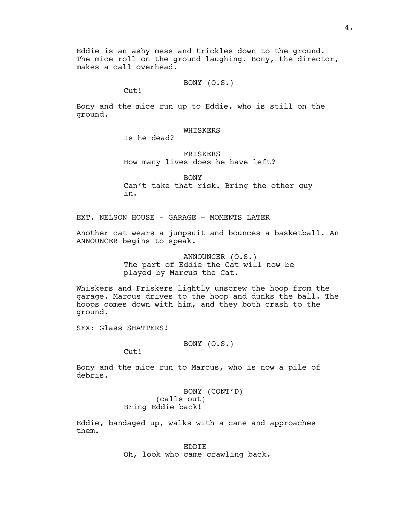Eddie is an ashy mess and trickles down to the ground. The mice roll on the ground laughing. Bony, the director, makes a call overhead.

BONY (O.S.)

Cut!

Bony and the mice run up to Eddie, who is still on the ground.

WHISKERS

Is he dead?

FRISKERS How many lives does he have left?

BONY Can't take that risk. Bring the other guy in.

EXT. NELSON HOUSE - GARAGE - MOMENTS LATER

Another cat wears a jumpsuit and bounces a basketball. An ANNOUNCER begins to speak.

> ANNOUNCER (O.S.) The part of Eddie the Cat will now be played by Marcus the Cat.

Whiskers and Friskers lightly unscrew the hoop from the garage. Marcus drives to the hoop and dunks the ball. The hoops comes down with him, and they both crash to the ground.

SFX: Glass SHATTERS!

BONY (O.S.)

Cut!

Bony and the mice run to Marcus, who is now a pile of debris.

> BONY (CONT'D) (calls out) Bring Eddie back!

Eddie, bandaged up, walks with a cane and approaches them.

> EDDIE Oh, look who came crawling back.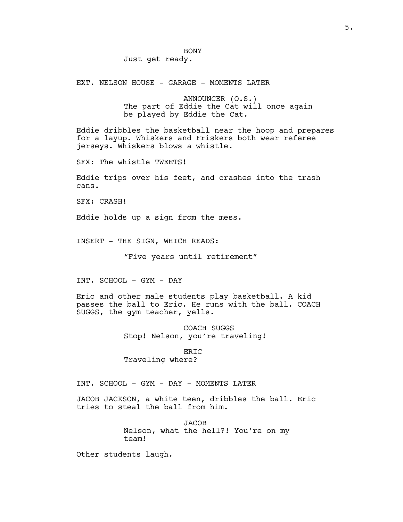### BONY Just get ready.

EXT. NELSON HOUSE - GARAGE - MOMENTS LATER

ANNOUNCER (O.S.) The part of Eddie the Cat will once again be played by Eddie the Cat.

Eddie dribbles the basketball near the hoop and prepares for a layup. Whiskers and Friskers both wear referee jerseys. Whiskers blows a whistle.

SFX: The whistle TWEETS!

Eddie trips over his feet, and crashes into the trash cans.

SFX: CRASH!

Eddie holds up a sign from the mess.

INSERT - THE SIGN, WHICH READS:

"Five years until retirement"

INT. SCHOOL - GYM - DAY

Eric and other male students play basketball. A kid passes the ball to Eric. He runs with the ball. COACH SUGGS, the gym teacher, yells.

> COACH SUGGS Stop! Nelson, you're traveling!

ERIC Traveling where?

INT. SCHOOL - GYM - DAY - MOMENTS LATER

JACOB JACKSON, a white teen, dribbles the ball. Eric tries to steal the ball from him.

> **JACOB** Nelson, what the hell?! You're on my team!

Other students laugh.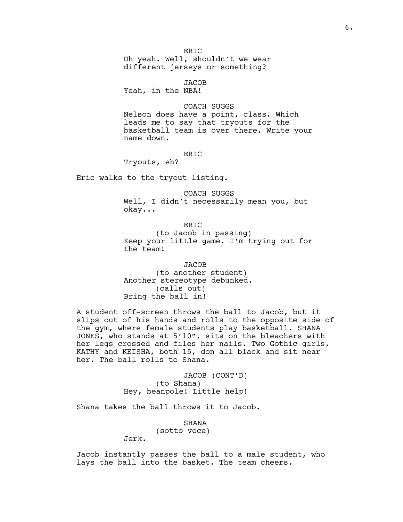ER<sub>IC</sub> Oh yeah. Well, shouldn't we wear different jerseys or something?

JACOB Yeah, in the NBA!

COACH SUGGS

Nelson does have a point, class. Which leads me to say that tryouts for the basketball team is over there. Write your name down.

### ERIC

Tryouts, eh?

Eric walks to the tryout listing.

COACH SUGGS Well, I didn't necessarily mean you, but okay...

ERIC (to Jacob in passing) Keep your little game. I'm trying out for the team!

JACOB (to another student) Another stereotype debunked. (calls out) Bring the ball in!

A student off-screen throws the ball to Jacob, but it slips out of his hands and rolls to the opposite side of the gym, where female students play basketball. SHANA JONES, who stands at 5'10", sits on the bleachers with her legs crossed and files her nails. Two Gothic girls, KATHY and KEISHA, both 15, don all black and sit near her. The ball rolls to Shana.

> JACOB (CONT'D) (to Shana) Hey, beanpole! Little help!

Shana takes the ball throws it to Jacob.

SHANA (sotto voce) Jerk.

Jacob instantly passes the ball to a male student, who lays the ball into the basket. The team cheers.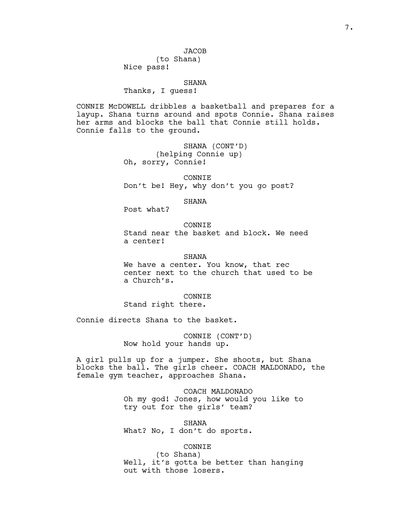### **JACOB**

(to Shana) Nice pass!

#### SHANA

Thanks, I guess!

CONNIE McDOWELL dribbles a basketball and prepares for a layup. Shana turns around and spots Connie. Shana raises her arms and blocks the ball that Connie still holds. Connie falls to the ground.

> SHANA (CONT'D) (helping Connie up) Oh, sorry, Connie!

CONNIE Don't be! Hey, why don't you go post?

#### SHANA

Post what?

**CONNIE** Stand near the basket and block. We need a center!

#### SHANA

We have a center. You know, that rec center next to the church that used to be a Church's.

#### CONNIE

Stand right there.

Connie directs Shana to the basket.

CONNIE (CONT'D) Now hold your hands up.

A girl pulls up for a jumper. She shoots, but Shana blocks the ball. The girls cheer. COACH MALDONADO, the female gym teacher, approaches Shana.

> COACH MALDONADO Oh my god! Jones, how would you like to try out for the girls' team?

SHANA What? No, I don't do sports.

### CONNIE

(to Shana) Well, it's gotta be better than hanging out with those losers.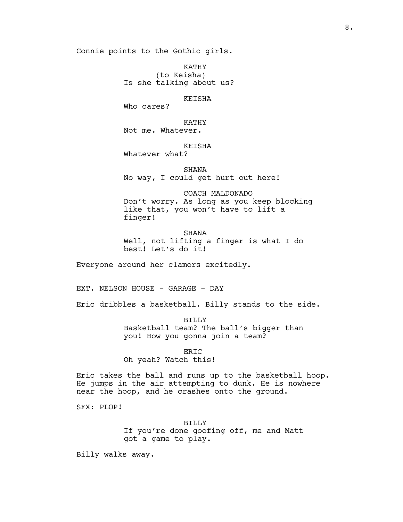Connie points to the Gothic girls.

KATHY (to Keisha) Is she talking about us?

#### KEISHA

Who cares?

KATHY Not me. Whatever.

### KEISHA

Whatever what?

SHANA No way, I could get hurt out here!

# COACH MALDONADO Don't worry. As long as you keep blocking like that, you won't have to lift a finger!

SHANA Well, not lifting a finger is what I do best! Let's do it!

Everyone around her clamors excitedly.

EXT. NELSON HOUSE - GARAGE - DAY

Eric dribbles a basketball. Billy stands to the side.

BILLY Basketball team? The ball's bigger than you! How you gonna join a team?

#### ERIC

Oh yeah? Watch this!

Eric takes the ball and runs up to the basketball hoop. He jumps in the air attempting to dunk. He is nowhere near the hoop, and he crashes onto the ground.

SFX: PLOP!

BILLY If you're done goofing off, me and Matt got a game to play.

Billy walks away.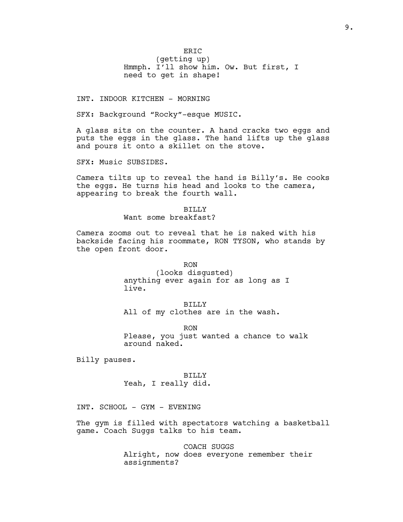ER<sub>IC</sub> (getting up) Hmmph. I'll show him. Ow. But first, I need to get in shape!

INT. INDOOR KITCHEN - MORNING

SFX: Background "Rocky"-esque MUSIC.

A glass sits on the counter. A hand cracks two eggs and puts the eggs in the glass. The hand lifts up the glass and pours it onto a skillet on the stove.

SFX: Music SUBSIDES.

Camera tilts up to reveal the hand is Billy's. He cooks the eggs. He turns his head and looks to the camera, appearing to break the fourth wall.

> BILLY Want some breakfast?

Camera zooms out to reveal that he is naked with his backside facing his roommate, RON TYSON, who stands by the open front door.

> RON (looks disgusted) anything ever again for as long as I live.

BILLY All of my clothes are in the wash.

RON Please, you just wanted a chance to walk around naked.

Billy pauses.

BILLY Yeah, I really did.

INT. SCHOOL - GYM - EVENING

The gym is filled with spectators watching a basketball game. Coach Suggs talks to his team.

> COACH SUGGS Alright, now does everyone remember their assignments?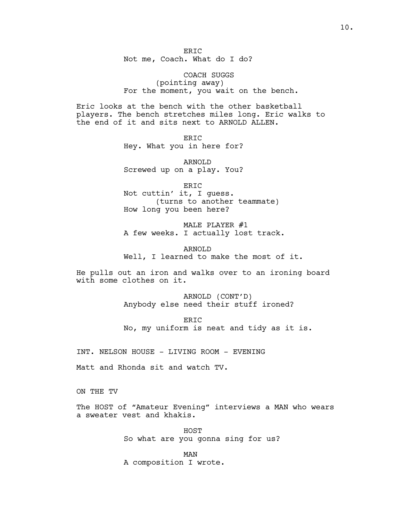ER<sub>IC</sub> Not me, Coach. What do I do?

COACH SUGGS (pointing away) For the moment, you wait on the bench.

Eric looks at the bench with the other basketball players. The bench stretches miles long. Eric walks to the end of it and sits next to ARNOLD ALLEN.

> ERIC Hey. What you in here for?

> ARNOLD Screwed up on a play. You?

ERIC Not cuttin' it, I guess. (turns to another teammate) How long you been here?

MALE PLAYER #1 A few weeks. I actually lost track.

ARNOLD Well, I learned to make the most of it.

He pulls out an iron and walks over to an ironing board with some clothes on it.

> ARNOLD (CONT'D) Anybody else need their stuff ironed?

ERIC No, my uniform is neat and tidy as it is.

INT. NELSON HOUSE - LIVING ROOM - EVENING

Matt and Rhonda sit and watch TV.

ON THE TV

The HOST of "Amateur Evening" interviews a MAN who wears a sweater vest and khakis.

> HOST So what are you gonna sing for us?

MAN A composition I wrote.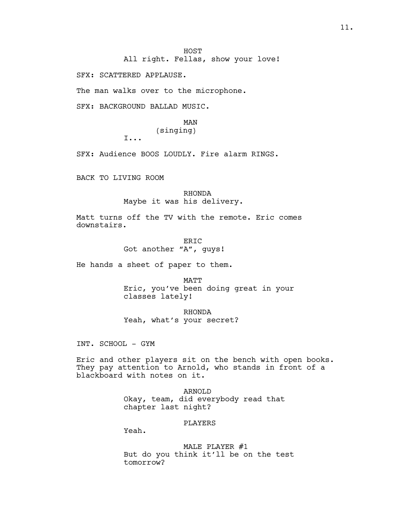All right. Fellas, show your love!

SFX: SCATTERED APPLAUSE.

The man walks over to the microphone.

SFX: BACKGROUND BALLAD MUSIC.

# MAN (singing)

I...

SFX: Audience BOOS LOUDLY. Fire alarm RINGS.

BACK TO LIVING ROOM

RHONDA Maybe it was his delivery.

Matt turns off the TV with the remote. Eric comes downstairs.

> ERIC Got another "A", guys!

He hands a sheet of paper to them.

MATT Eric, you've been doing great in your classes lately!

RHONDA Yeah, what's your secret?

INT. SCHOOL - GYM

Eric and other players sit on the bench with open books. They pay attention to Arnold, who stands in front of a blackboard with notes on it.

> ARNOLD Okay, team, did everybody read that chapter last night?

#### PLAYERS

Yeah.

MALE PLAYER #1 But do you think it'll be on the test tomorrow?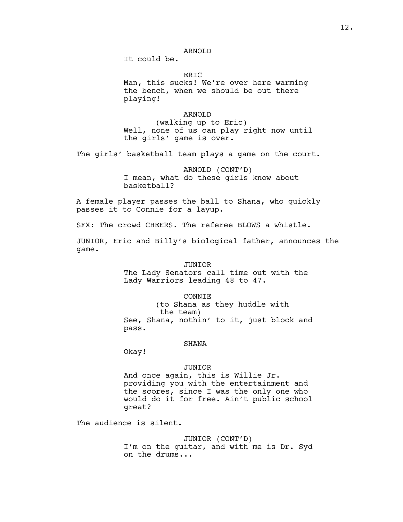It could be.

ER<sub>TC</sub>

Man, this sucks! We're over here warming the bench, when we should be out there playing!

### ARNOLD

(walking up to Eric) Well, none of us can play right now until the girls' game is over.

The girls' basketball team plays a game on the court.

ARNOLD (CONT'D) I mean, what do these girls know about basketball?

A female player passes the ball to Shana, who quickly passes it to Connie for a layup.

SFX: The crowd CHEERS. The referee BLOWS a whistle.

JUNIOR, Eric and Billy's biological father, announces the game.

#### JUNIOR

The Lady Senators call time out with the Lady Warriors leading 48 to 47.

#### CONNIE

(to Shana as they huddle with the team) See, Shana, nothin' to it, just block and pass.

#### SHANA

Okay!

#### JUNIOR

And once again, this is Willie Jr. providing you with the entertainment and the scores, since I was the only one who would do it for free. Ain't public school great?

The audience is silent.

#### JUNIOR (CONT'D)

I'm on the guitar, and with me is Dr. Syd on the drums...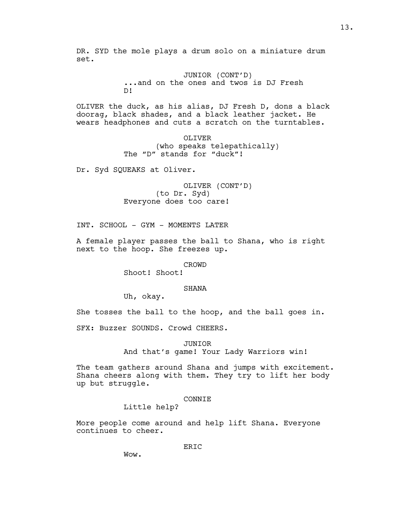DR. SYD the mole plays a drum solo on a miniature drum set.

> JUNIOR (CONT'D) ...and on the ones and twos is DJ Fresh D!

OLIVER the duck, as his alias, DJ Fresh D, dons a black doorag, black shades, and a black leather jacket. He wears headphones and cuts a scratch on the turntables.

> OLIVER (who speaks telepathically) The "D" stands for "duck"!

Dr. Syd SQUEAKS at Oliver.

OLIVER (CONT'D) (to Dr. Syd) Everyone does too care!

INT. SCHOOL - GYM - MOMENTS LATER

A female player passes the ball to Shana, who is right next to the hoop. She freezes up.

### CROWD

Shoot! Shoot!

#### SHANA

Uh, okay.

She tosses the ball to the hoop, and the ball goes in.

SFX: Buzzer SOUNDS. Crowd CHEERS.

### JUNIOR

And that's game! Your Lady Warriors win!

The team gathers around Shana and jumps with excitement. Shana cheers along with them. They try to lift her body up but struggle.

# CONNIE

Little help?

More people come around and help lift Shana. Everyone continues to cheer.

ERIC

Wow.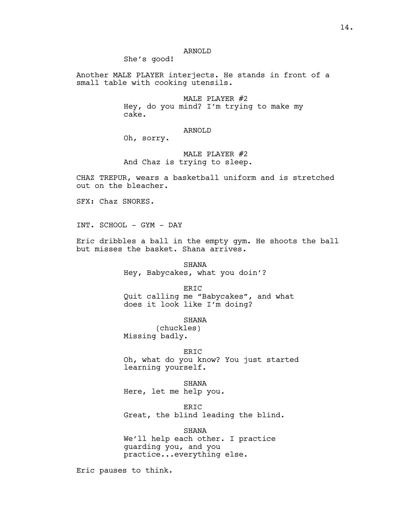### ARNOLD

She's good!

Another MALE PLAYER interjects. He stands in front of a small table with cooking utensils.

> MALE PLAYER #2 Hey, do you mind? I'm trying to make my cake.

### ARNOLD

Oh, sorry.

# MALE PLAYER #2 And Chaz is trying to sleep.

CHAZ TREPUR, wears a basketball uniform and is stretched out on the bleacher.

SFX: Chaz SNORES.

INT. SCHOOL - GYM - DAY

Eric dribbles a ball in the empty gym. He shoots the ball but misses the basket. Shana arrives.

> SHANA Hey, Babycakes, what you doin'?

> > ERIC

Quit calling me "Babycakes", and what does it look like I'm doing?

SHANA

(chuckles) Missing badly.

ERIC

Oh, what do you know? You just started learning yourself.

SHANA Here, let me help you.

ERIC Great, the blind leading the blind.

SHANA We'll help each other. I practice guarding you, and you practice...everything else.

Eric pauses to think.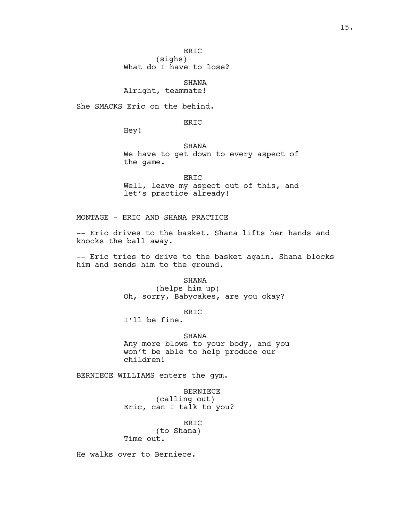ERIC (sighs)

What do I have to lose?

SHANA Alright, teammate!

She SMACKS Eric on the behind.

ER<sub>IC</sub>

Hey!

SHANA

We have to get down to every aspect of the game.

ERIC Well, leave my aspect out of this, and let's practice already!

MONTAGE - ERIC AND SHANA PRACTICE

-- Eric drives to the basket. Shana lifts her hands and knocks the ball away.

-- Eric tries to drive to the basket again. Shana blocks him and sends him to the ground.

**SHANA** 

(helps him up) Oh, sorry, Babycakes, are you okay?

ERIC

I'll be fine.

SHANA

Any more blows to your body, and you won't be able to help produce our children!

BERNIECE WILLIAMS enters the gym.

BERNIECE (calling out) Eric, can I talk to you?

ERIC (to Shana) Time out.

He walks over to Berniece.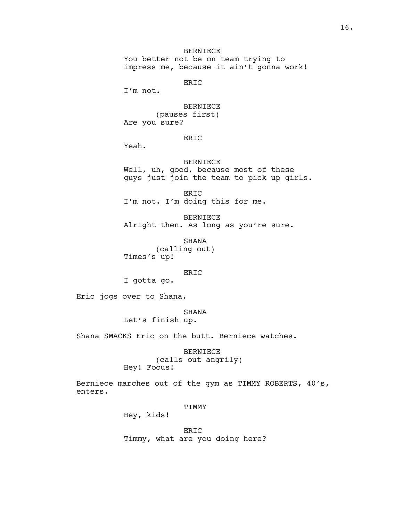# BERNIECE

You better not be on team trying to impress me, because it ain't gonna work!

ERIC

I'm not.

BERNIECE

(pauses first) Are you sure?

# ERIC

Yeah.

BERNIECE Well, uh, good, because most of these guys just join the team to pick up girls.

ERIC I'm not. I'm doing this for me.

BERNIECE Alright then. As long as you're sure.

SHANA (calling out) Times's up!

### ERIC

I gotta go.

Eric jogs over to Shana.

### SHANA

Let's finish up.

Shana SMACKS Eric on the butt. Berniece watches.

BERNIECE (calls out angrily)

Hey! Focus!

Berniece marches out of the gym as TIMMY ROBERTS, 40's, enters.

### TIMMY

Hey, kids!

ERIC Timmy, what are you doing here?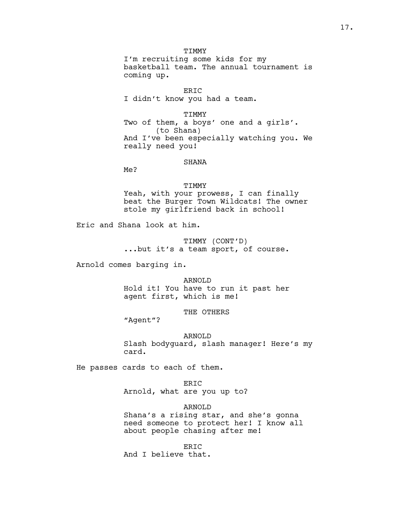TIMMY I'm recruiting some kids for my basketball team. The annual tournament is coming up.

ERIC I didn't know you had a team.

TIMMY Two of them, a boys' one and a girls'. (to Shana) And I've been especially watching you. We really need you!

#### SHANA

Me?

TIMMY Yeah, with your prowess, I can finally beat the Burger Town Wildcats! The owner stole my girlfriend back in school!

Eric and Shana look at him.

TIMMY (CONT'D) ...but it's a team sport, of course.

Arnold comes barging in.

ARNOLD Hold it! You have to run it past her agent first, which is me!

THE OTHERS

"Agent"?

ARNOLD Slash bodyguard, slash manager! Here's my card.

He passes cards to each of them.

ERIC Arnold, what are you up to?

ARNOLD Shana's a rising star, and she's gonna need someone to protect her! I know all about people chasing after me!

ERIC And I believe that.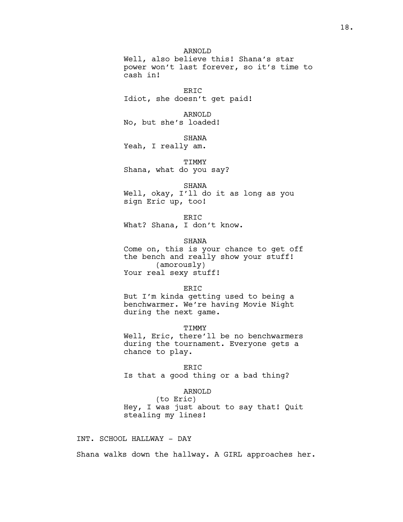ARNOLD Well, also believe this! Shana's star power won't last forever, so it's time to cash in!

ERIC Idiot, she doesn't get paid!

ARNOLD

No, but she's loaded!

SHANA

Yeah, I really am.

TIMMY Shana, what do you say?

SHANA Well, okay, I'll do it as long as you sign Eric up, too!

ERIC What? Shana, I don't know.

SHANA Come on, this is your chance to get off the bench and really show your stuff! (amorously)

Your real sexy stuff!

#### ERIC

But I'm kinda getting used to being a benchwarmer. We're having Movie Night during the next game.

TIMMY

Well, Eric, there'll be no benchwarmers during the tournament. Everyone gets a chance to play.

ERIC Is that a good thing or a bad thing?

### ARNOLD

(to Eric) Hey, I was just about to say that! Quit stealing my lines!

INT. SCHOOL HALLWAY - DAY

Shana walks down the hallway. A GIRL approaches her.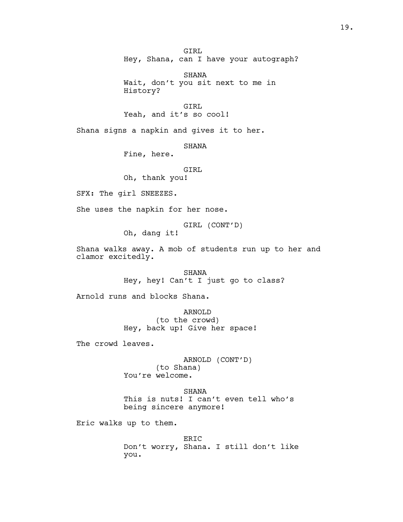GIRL Hey, Shana, can I have your autograph?

SHANA Wait, don't you sit next to me in History?

GIRL Yeah, and it's so cool!

Shana signs a napkin and gives it to her.

SHANA

Fine, here.

GIRL

Oh, thank you!

SFX: The girl SNEEZES.

She uses the napkin for her nose.

GIRL (CONT'D)

Oh, dang it!

Shana walks away. A mob of students run up to her and clamor excitedly.

> SHANA Hey, hey! Can't I just go to class?

Arnold runs and blocks Shana.

ARNOLD (to the crowd) Hey, back up! Give her space!

The crowd leaves.

ARNOLD (CONT'D) (to Shana) You're welcome.

SHANA This is nuts! I can't even tell who's being sincere anymore!

Eric walks up to them.

ERIC Don't worry, Shana. I still don't like you.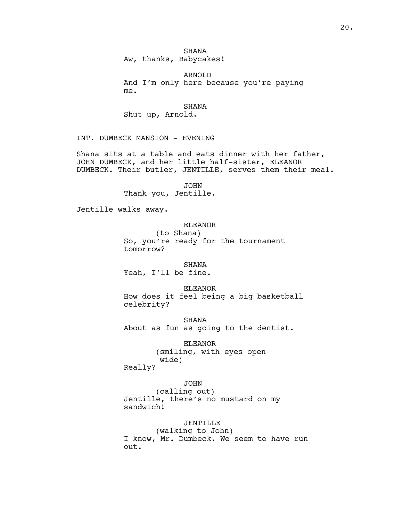ARNOLD And I'm only here because you're paying me.

SHANA

Shut up, Arnold.

INT. DUMBECK MANSION - EVENING

Shana sits at a table and eats dinner with her father, JOHN DUMBECK, and her little half-sister, ELEANOR DUMBECK. Their butler, JENTILLE, serves them their meal.

> JOHN Thank you, Jentille.

Jentille walks away.

# ELEANOR

(to Shana) So, you're ready for the tournament tomorrow?

SHANA

Yeah, I'll be fine.

ELEANOR

How does it feel being a big basketball celebrity?

SHANA About as fun as going to the dentist.

> ELEANOR (smiling, with eyes open wide)

Really?

JOHN

(calling out) Jentille, there's no mustard on my sandwich!

JENTILLE

(walking to John) I know, Mr. Dumbeck. We seem to have run out.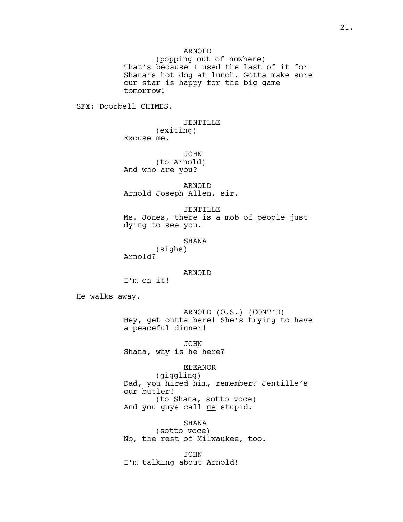### ARNOLD

(popping out of nowhere) That's because I used the last of it for Shana's hot dog at lunch. Gotta make sure our star is happy for the big game tomorrow!

SFX: Doorbell CHIMES.

JENTILLE (exiting) Excuse me.

JOHN (to Arnold) And who are you?

ARNOLD Arnold Joseph Allen, sir.

JENTILLE Ms. Jones, there is a mob of people just dying to see you.

SHANA

(sighs) Arnold?

ARNOLD

I'm on it!

He walks away.

ARNOLD (O.S.) (CONT'D) Hey, get outta here! She's trying to have a peaceful dinner!

JOHN Shana, why is he here?

#### ELEANOR

(giggling) Dad, you hired him, remember? Jentille's our butler! (to Shana, sotto voce) And you quys call me stupid.

SHANA (sotto voce) No, the rest of Milwaukee, too.

JOHN I'm talking about Arnold!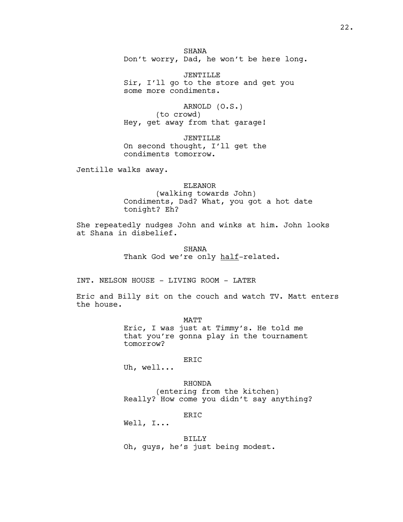**SHANA** Don't worry, Dad, he won't be here long.

JENTILLE Sir, I'll go to the store and get you some more condiments.

ARNOLD (O.S.) (to crowd) Hey, get away from that garage!

JENTILLE On second thought, I'll get the condiments tomorrow.

Jentille walks away.

#### ELEANOR

(walking towards John) Condiments, Dad? What, you got a hot date tonight? Eh?

She repeatedly nudges John and winks at him. John looks at Shana in disbelief.

> SHANA Thank God we're only half-related.

INT. NELSON HOUSE - LIVING ROOM - LATER

Eric and Billy sit on the couch and watch TV. Matt enters the house.

> MATT Eric, I was just at Timmy's. He told me that you're gonna play in the tournament tomorrow?

### ERIC

Uh, well...

RHONDA (entering from the kitchen) Really? How come you didn't say anything?

ER<sub>TC</sub>

Well, I...

### BILLY

Oh, guys, he's just being modest.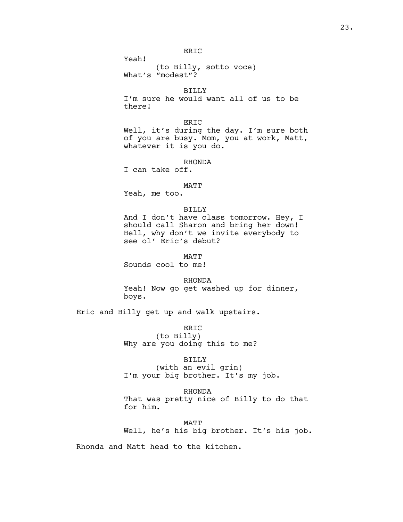(to Billy, sotto voce) What's "modest"?

BILLY

I'm sure he would want all of us to be there!

ERIC Well, it's during the day. I'm sure both of you are busy. Mom, you at work, Matt, whatever it is you do.

RHONDA

I can take off.

Yeah!

### MATT

Yeah, me too.

### BILLY

And I don't have class tomorrow. Hey, I should call Sharon and bring her down! Hell, why don't we invite everybody to see ol' Eric's debut?

MATT

Sounds cool to me!

RHONDA Yeah! Now go get washed up for dinner, boys.

Eric and Billy get up and walk upstairs.

ERIC (to Billy) Why are you doing this to me?

# BILLY (with an evil grin) I'm your big brother. It's my job.

RHONDA

That was pretty nice of Billy to do that for him.

MATT Well, he's his big brother. It's his job.

Rhonda and Matt head to the kitchen.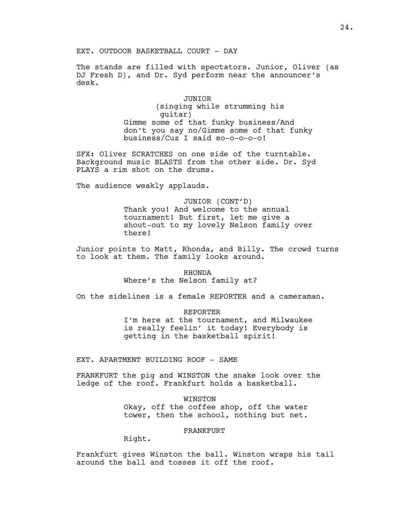EXT. OUTDOOR BASKETBALL COURT - DAY

The stands are filled with spectators. Junior, Oliver (as DJ Fresh D), and Dr. Syd perform near the announcer's desk.

# JUNIOR (singing while strumming his guitar) Gimme some of that funky business/And don't you say no/Gimme some of that funky business/Cuz I said so-o-o-o-o!

SFX: Oliver SCRATCHES on one side of the turntable. Background music BLASTS from the other side. Dr. Syd PLAYS a rim shot on the drums.

The audience weakly applauds.

JUNIOR (CONT'D) Thank you! And welcome to the annual tournament! But first, let me give a shout-out to my lovely Nelson family over there!

Junior points to Matt, Rhonda, and Billy. The crowd turns to look at them. The family looks around.

### RHONDA

Where's the Nelson family at?

On the sidelines is a female REPORTER and a cameraman.

REPORTER

I'm here at the tournament, and Milwaukee is really feelin' it today! Everybody is getting in the basketball spirit!

EXT. APARTMENT BUILDING ROOF - SAME

FRANKFURT the pig and WINSTON the snake look over the ledge of the roof. Frankfurt holds a basketball.

> WINSTON Okay, off the coffee shop, off the water tower, then the school, nothing but net.

> > FRANKFURT

Right.

Frankfurt gives Winston the ball. Winston wraps his tail around the ball and tosses it off the roof.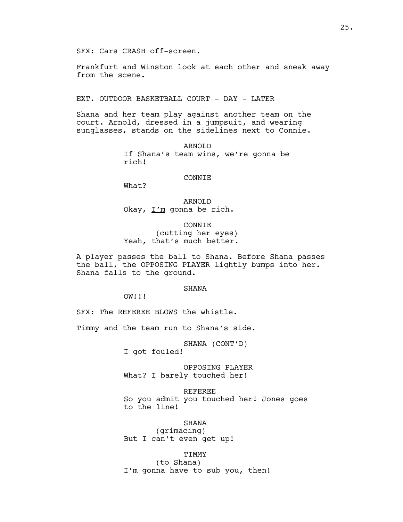Frankfurt and Winston look at each other and sneak away from the scene.

EXT. OUTDOOR BASKETBALL COURT - DAY - LATER

Shana and her team play against another team on the court. Arnold, dressed in a jumpsuit, and wearing sunglasses, stands on the sidelines next to Connie.

> ARNOLD If Shana's team wins, we're gonna be rich!

#### CONNIE

What?

ARNOLD Okay,  $I'm$  gonna be rich.

CONNIE (cutting her eyes) Yeah, that's much better.

A player passes the ball to Shana. Before Shana passes the ball, the OPPOSING PLAYER lightly bumps into her. Shana falls to the ground.

### **SHANA**

OW!!!

SFX: The REFEREE BLOWS the whistle.

Timmy and the team run to Shana's side.

SHANA (CONT'D)

I got fouled!

OPPOSING PLAYER What? I barely touched her!

REFEREE So you admit you touched her! Jones goes to the line!

SHANA

(grimacing) But I can't even get up!

TIMMY

(to Shana) I'm gonna have to sub you, then!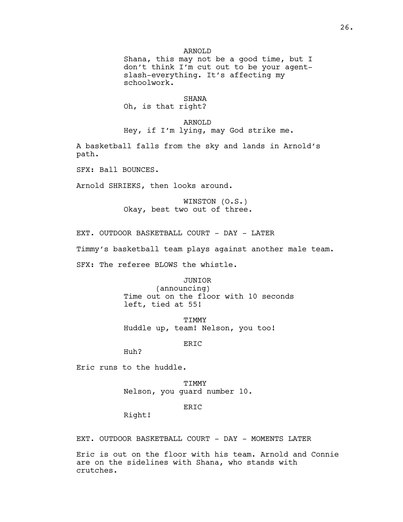Shana, this may not be a good time, but I don't think I'm cut out to be your agentslash-everything. It's affecting my schoolwork.

#### SHANA

Oh, is that right?

#### ARNOLD

Hey, if I'm lying, may God strike me.

A basketball falls from the sky and lands in Arnold's path.

SFX: Ball BOUNCES.

Arnold SHRIEKS, then looks around.

WINSTON (O.S.) Okay, best two out of three.

EXT. OUTDOOR BASKETBALL COURT - DAY - LATER

Timmy's basketball team plays against another male team.

SFX: The referee BLOWS the whistle.

#### JUNIOR

(announcing) Time out on the floor with 10 seconds left, tied at 55!

TIMMY Huddle up, team! Nelson, you too!

ERIC

Huh?

Eric runs to the huddle.

TIMMY Nelson, you guard number 10.

### ERIC

Right!

EXT. OUTDOOR BASKETBALL COURT - DAY - MOMENTS LATER

Eric is out on the floor with his team. Arnold and Connie are on the sidelines with Shana, who stands with crutches.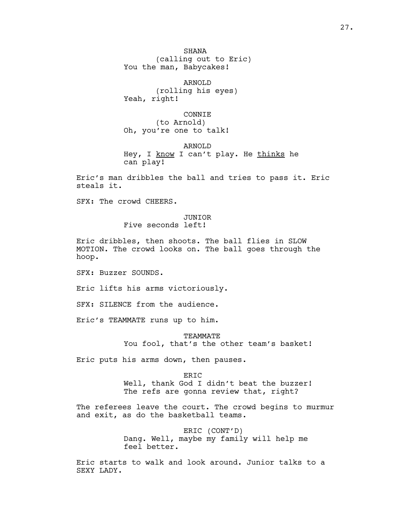SHANA (calling out to Eric) You the man, Babycakes!

ARNOLD (rolling his eyes) Yeah, right!

CONNIE (to Arnold) Oh, you're one to talk!

ARNOLD Hey, I know I can't play. He thinks he can play!

Eric's man dribbles the ball and tries to pass it. Eric steals it.

SFX: The crowd CHEERS.

# JUNIOR Five seconds left!

Eric dribbles, then shoots. The ball flies in SLOW MOTION. The crowd looks on. The ball goes through the hoop.

SFX: Buzzer SOUNDS.

Eric lifts his arms victoriously.

SFX: SILENCE from the audience.

Eric's TEAMMATE runs up to him.

TEAMMATE

You fool, that's the other team's basket!

Eric puts his arms down, then pauses.

#### ER<sub>TC</sub>

Well, thank God I didn't beat the buzzer! The refs are gonna review that, right?

The referees leave the court. The crowd begins to murmur and exit, as do the basketball teams.

> ERIC (CONT'D) Dang. Well, maybe my family will help me feel better.

Eric starts to walk and look around. Junior talks to a SEXY LADY.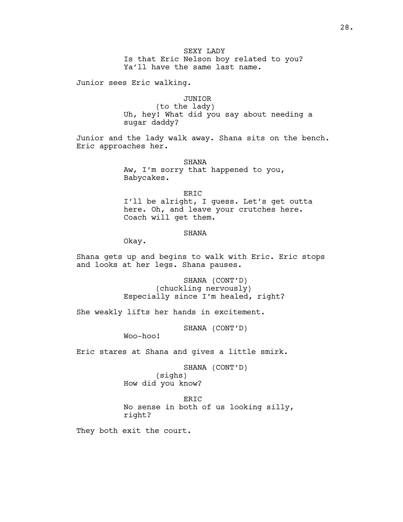Is that Eric Nelson boy related to you? Ya'll have the same last name.

Junior sees Eric walking.

# JUNIOR

(to the lady) Uh, hey! What did you say about needing a sugar daddy?

Junior and the lady walk away. Shana sits on the bench. Eric approaches her.

> SHANA Aw, I'm sorry that happened to you, Babycakes.

ERIC I'll be alright, I guess. Let's get outta here. Oh, and leave your crutches here. Coach will get them.

### SHANA

Okay.

Shana gets up and begins to walk with Eric. Eric stops and looks at her legs. Shana pauses.

> SHANA (CONT'D) (chuckling nervously) Especially since I'm healed, right?

She weakly lifts her hands in excitement.

SHANA (CONT'D)

Woo-hoo!

Eric stares at Shana and gives a little smirk.

SHANA (CONT'D) (sighs) How did you know?

ERIC

No sense in both of us looking silly, right?

They both exit the court.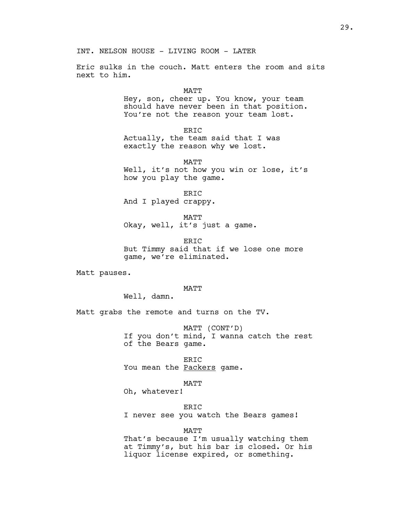Eric sulks in the couch. Matt enters the room and sits next to him.

#### MATT

Hey, son, cheer up. You know, your team should have never been in that position. You're not the reason your team lost.

ERIC

Actually, the team said that I was exactly the reason why we lost.

MATT

Well, it's not how you win or lose, it's how you play the game.

ERIC And I played crappy.

MATT Okay, well, it's just a game.

ERIC But Timmy said that if we lose one more game, we're eliminated.

Matt pauses.

### MATT

Well, damn.

Matt grabs the remote and turns on the TV.

MATT (CONT'D) If you don't mind, I wanna catch the rest of the Bears game.

ERIC You mean the Packers game.

#### MATT

Oh, whatever!

#### ERIC

I never see you watch the Bears games!

MATT

That's because I'm usually watching them at Timmy's, but his bar is closed. Or his liquor license expired, or something.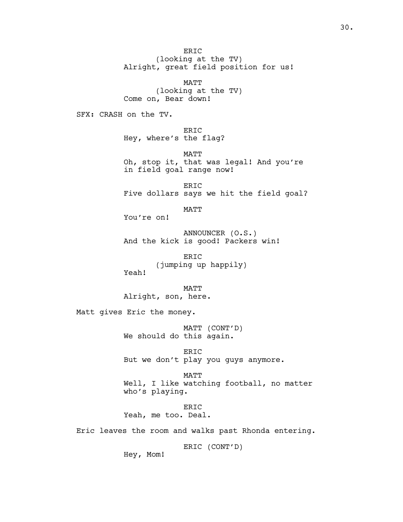ERIC (looking at the TV) Alright, great field position for us!

MATT (looking at the TV) Come on, Bear down!

SFX: CRASH on the TV.

ERIC Hey, where's the flag?

MATT Oh, stop it, that was legal! And you're in field goal range now!

ERIC Five dollars says we hit the field goal?

MATT

You're on!

ANNOUNCER (O.S.) And the kick is good! Packers win!

ERIC (jumping up happily) Yeah!

MATT Alright, son, here.

Matt gives Eric the money.

MATT (CONT'D) We should do this again.

ERIC But we don't play you guys anymore.

MATT Well, I like watching football, no matter who's playing.

ERIC Yeah, me too. Deal.

Eric leaves the room and walks past Rhonda entering.

ERIC (CONT'D)

Hey, Mom!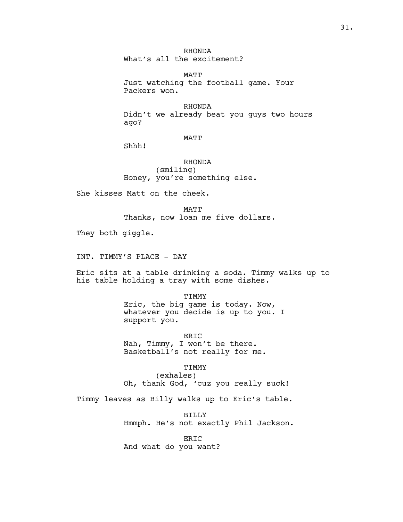RHONDA What's all the excitement?

MATT Just watching the football game. Your Packers won.

RHONDA Didn't we already beat you guys two hours ago?

MATT

Shhh!

RHONDA (smiling) Honey, you're something else.

She kisses Matt on the cheek.

**MATT** Thanks, now loan me five dollars.

They both giggle.

INT. TIMMY'S PLACE - DAY

Eric sits at a table drinking a soda. Timmy walks up to his table holding a tray with some dishes.

> TIMMY Eric, the big game is today. Now, whatever you decide is up to you. I support you.

ERIC Nah, Timmy, I won't be there. Basketball's not really for me.

TIMMY

(exhales) Oh, thank God, 'cuz you really suck!

Timmy leaves as Billy walks up to Eric's table.

BILLY Hmmph. He's not exactly Phil Jackson.

ERIC And what do you want?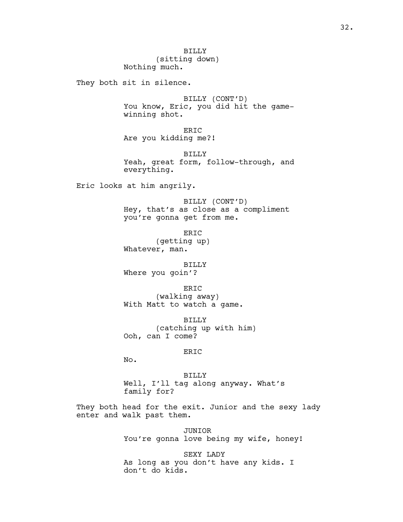They both sit in silence.

BILLY (CONT'D) You know, Eric, you did hit the gamewinning shot.

ERIC Are you kidding me?!

BILLY Yeah, great form, follow-through, and everything.

Eric looks at him angrily.

BILLY (CONT'D) Hey, that's as close as a compliment you're gonna get from me.

ERIC (getting up) Whatever, man.

BILLY Where you goin'?

ERIC (walking away) With Matt to watch a game.

BILLY (catching up with him) Ooh, can I come?

### ERIC

No.

BILLY Well, I'll tag along anyway. What's family for?

They both head for the exit. Junior and the sexy lady enter and walk past them.

> JUNIOR You're gonna love being my wife, honey!

SEXY LADY As long as you don't have any kids. I don't do kids.